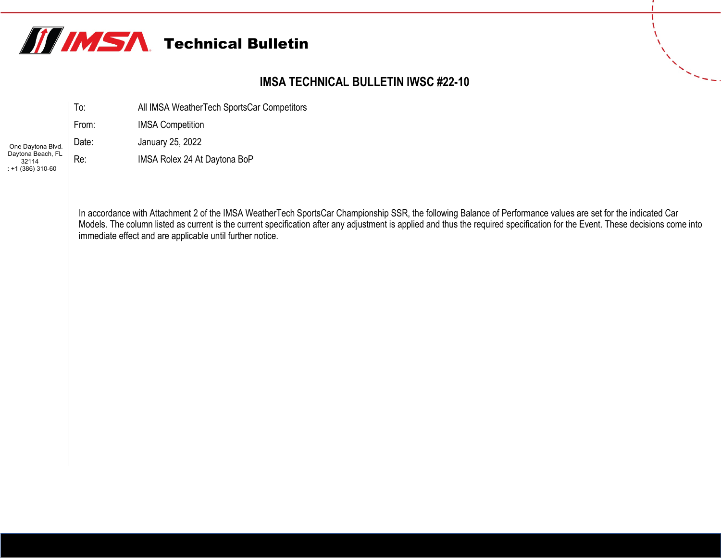

#### **IMSA TECHNICAL BULLETIN IWSC #22-10**

|                                                 | To:   | All IMSA WeatherTech SportsCar Competitors |
|-------------------------------------------------|-------|--------------------------------------------|
|                                                 | From: | <b>IMSA Competition</b>                    |
| One Daytona Blvd.                               | Date: | January 25, 2022                           |
| Daytona Beach, FL<br>32114<br>$: +1(386)310-60$ | Re:   | IMSA Rolex 24 At Daytona BoP               |

 $\mathbf{r}$ 

In accordance with Attachment 2 of the IMSA WeatherTech SportsCar Championship SSR, the following Balance of Performance values are set for the indicated Car Models. The column listed as current is the current specification after any adjustment is applied and thus the required specification for the Event. These decisions come into immediate effect and are applicable until further notice.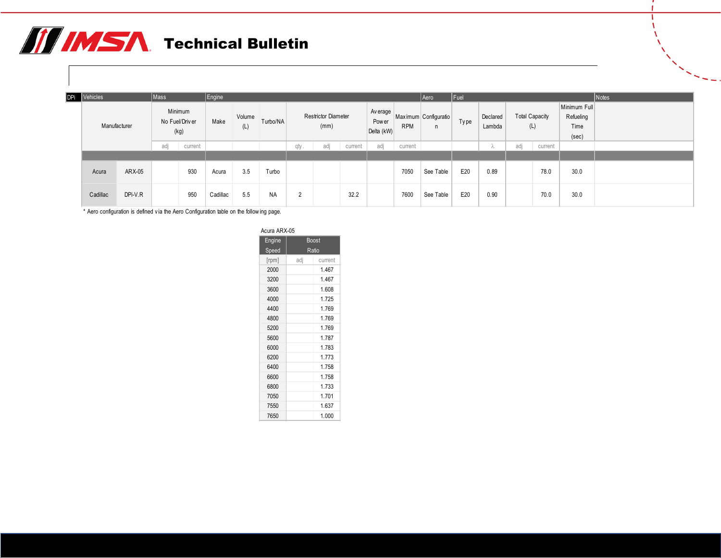| DPi Vehicles |         | Mass    |                        | $\vert$ Engine |               |           |          |                                    |         |                                       |            | Aero                  | Fuel |                    |                |                       |                                            | Notes |
|--------------|---------|---------|------------------------|----------------|---------------|-----------|----------|------------------------------------|---------|---------------------------------------|------------|-----------------------|------|--------------------|----------------|-----------------------|--------------------------------------------|-------|
| Manufacturer |         | Minimum | No Fuel/Driver<br>(kg) | Make           | Volume<br>(L) | Turbo/NA  |          | <b>Restrictor Diameter</b><br>(mm) |         | Average<br><b>Power</b><br>Delta (kW) | <b>RPM</b> | Max imum Configuratio | Type | Declared<br>Lambda | (L)            | <b>Total Capacity</b> | Minimum Full<br>Refueling<br>Time<br>(sec) |       |
|              |         | adj     | current                |                |               |           | qty.     | adj                                | current | adj                                   | current    |                       |      | ∿                  | adj<br>current |                       |                                            |       |
|              |         |         |                        |                |               |           |          |                                    |         |                                       |            |                       |      |                    |                |                       |                                            |       |
| Acura        | ARX-05  |         | 930                    | Acura          | 3.5           | Turbo     |          |                                    |         |                                       | 7050       | See Table             | E20  | 0.89               |                | 78.0                  | 30.0                                       |       |
| Cadillac     | DPi-V.R |         | 950                    | Cadillac       | 5.5           | <b>NA</b> | $\Omega$ |                                    | 32.2    |                                       | 7600       | See Table             | E20  | 0.90               |                | 70.0                  | 30.0                                       |       |

\* Aero configuration is defined v ia the Aero Configuration table on the follow ing page.

| Acura ARX-05 |     |              |
|--------------|-----|--------------|
| Engine       |     | <b>Boost</b> |
| Speed        |     | Ratio        |
| [rpm]        | adj | current      |
| 2000         |     | 1.467        |
| 3200         |     | 1.467        |
| 3600         |     | 1.608        |
| 4000         |     | 1.725        |
| 4400         |     | 1.769        |
| 4800         |     | 1.769        |
| 5200         |     | 1.769        |
| 5600         |     | 1.787        |
| 6000         |     | 1.783        |
| 6200         |     | 1.773        |
| 6400         |     | 1.758        |
| 6600         |     | 1.758        |
| 6800         |     | 1.733        |
| 7050         |     | 1.701        |
| 7550         |     | 1.637        |
| 7650         |     | 1.000        |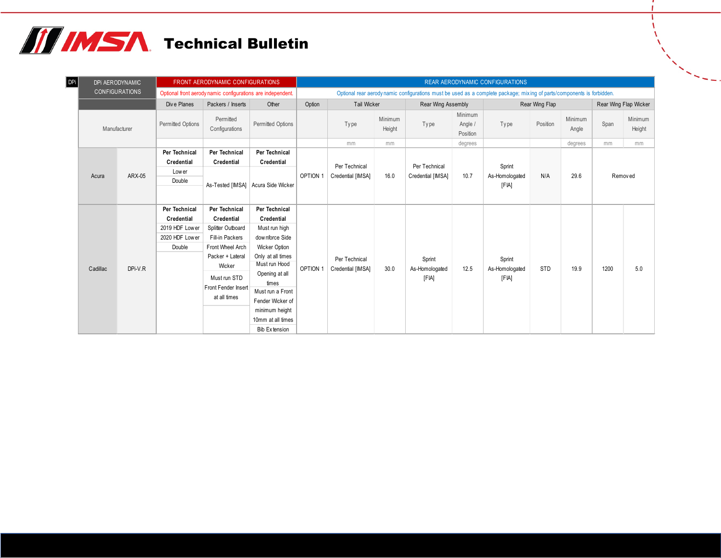| DPi |              | DPI AERODYNAMIC       |                          | FRONT AERODYNAMIC CONFIGURATIONS                            |                                    |          |                    |                   |                                                                                                                       |                                                           | REAR AERODYNAMIC CONFIGURATIONS |                |                  |      |                       |
|-----|--------------|-----------------------|--------------------------|-------------------------------------------------------------|------------------------------------|----------|--------------------|-------------------|-----------------------------------------------------------------------------------------------------------------------|-----------------------------------------------------------|---------------------------------|----------------|------------------|------|-----------------------|
|     |              | <b>CONFIGURATIONS</b> |                          | Optional front aerody namic configurations are independent. |                                    |          |                    |                   | Optional rear aerodynamic configurations must be used as a complete package; mixing of parts/components is forbidden. |                                                           |                                 |                |                  |      |                       |
|     |              |                       | Dive Planes              | Packers / Inserts                                           | Other                              | Option   | <b>Tail Wicker</b> |                   | Rear Wing Assembly                                                                                                    |                                                           |                                 | Rear Wing Flap |                  |      | Rear Wing Flap Wicker |
|     | Manufacturer |                       | <b>Permitted Options</b> | Permitted<br>Configurations                                 | <b>Permitted Options</b>           |          | Type               | Minimum<br>Height | Type                                                                                                                  | Minimum<br>Angle /<br>Position                            | Type                            | Position       | Minimum<br>Angle | Span | Minimum<br>Height     |
|     |              |                       |                          |                                                             |                                    |          | mm                 | mm                |                                                                                                                       | degrees                                                   |                                 |                | degrees          | mm   | mm                    |
|     |              |                       | Per Technical            | Per Technical                                               | Per Technical                      |          |                    |                   |                                                                                                                       |                                                           |                                 |                |                  |      |                       |
|     |              |                       | Credential               | Credential                                                  | Credential                         |          | Per Technical      |                   | Per Technical                                                                                                         |                                                           | Sprint                          |                |                  |      |                       |
|     | Acura        | ARX-05                | Low er                   |                                                             |                                    | OPTION 1 | Credential [IMSA]  | 16.0              | Credential [IMSA]                                                                                                     | 29.6<br>10.7<br>As-Homologated<br>N/A<br>Removed<br>[FIA] |                                 |                |                  |      |                       |
|     |              |                       | Double                   |                                                             | As-Tested [IMSA] Acura Side Wicker |          |                    |                   |                                                                                                                       |                                                           |                                 |                |                  |      |                       |
|     |              |                       |                          |                                                             |                                    |          |                    |                   |                                                                                                                       |                                                           |                                 |                |                  |      |                       |
|     |              |                       | Per Technical            | Per Technical                                               | Per Technical                      |          |                    |                   |                                                                                                                       |                                                           |                                 |                |                  |      |                       |
|     |              |                       | Credential               | Credential                                                  | Credential                         |          |                    |                   |                                                                                                                       |                                                           |                                 |                |                  |      |                       |
|     |              |                       | 2019 HDF Lower           | Splitter Outboard                                           | Must run high                      |          |                    |                   |                                                                                                                       |                                                           |                                 |                |                  |      |                       |
|     |              |                       | 2020 HDF Lower           | Fill-in Packers                                             | downforce Side                     |          |                    |                   |                                                                                                                       |                                                           |                                 |                |                  |      |                       |
|     |              |                       | Double                   | Front Wheel Arch                                            | <b>Wicker Option</b>               |          |                    |                   |                                                                                                                       |                                                           |                                 |                |                  |      |                       |
|     |              |                       |                          | Packer + Lateral                                            | Only at all times                  |          | Per Technical      |                   | Sprint                                                                                                                |                                                           | Sprint                          |                |                  |      |                       |
|     | Cadillac     | DPi-V.R               |                          | Wicker                                                      | Must run Hood                      | OPTION 1 | Credential [IMSA]  | 30.0              | As-Homologated                                                                                                        | 12.5                                                      | As-Homologated                  | <b>STD</b>     | 19.9             | 1200 | 5.0                   |
|     |              |                       |                          | Must run STD                                                | Opening at all                     |          |                    |                   | [FIA]                                                                                                                 |                                                           | [FIA]                           |                |                  |      |                       |
|     |              |                       |                          | Front Fender Insert                                         | times                              |          |                    |                   |                                                                                                                       |                                                           |                                 |                |                  |      |                       |
|     |              |                       |                          | at all times                                                | Must run a Front                   |          |                    |                   |                                                                                                                       |                                                           |                                 |                |                  |      |                       |
|     |              |                       |                          |                                                             | Fender Wicker of                   |          |                    |                   |                                                                                                                       |                                                           |                                 |                |                  |      |                       |
|     |              |                       |                          |                                                             | minimum height                     |          |                    |                   |                                                                                                                       |                                                           |                                 |                |                  |      |                       |
|     |              |                       |                          |                                                             | 10mm at all times                  |          |                    |                   |                                                                                                                       |                                                           |                                 |                |                  |      |                       |
|     |              |                       |                          |                                                             | Bib Extension                      |          |                    |                   |                                                                                                                       |                                                           |                                 |                |                  |      |                       |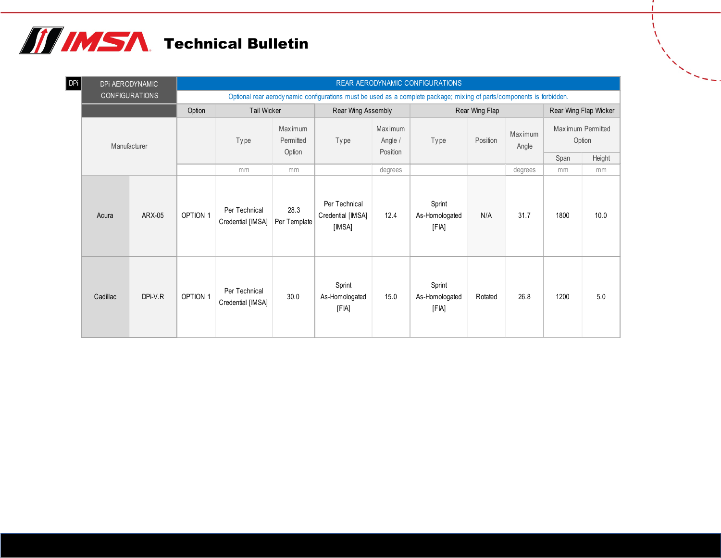| <b>DPi</b> |          | DPI AERODYNAMIC       |                 |                                    |                             |                                              |                    | REAR AERODYNAMIC CONFIGURATIONS                                                                                       |                |                  |      |                             |
|------------|----------|-----------------------|-----------------|------------------------------------|-----------------------------|----------------------------------------------|--------------------|-----------------------------------------------------------------------------------------------------------------------|----------------|------------------|------|-----------------------------|
|            |          | <b>CONFIGURATIONS</b> |                 |                                    |                             |                                              |                    | Optional rear aerodynamic configurations must be used as a complete package; mixing of parts/components is forbidden. |                |                  |      |                             |
|            |          |                       | Option          | <b>Tail Wicker</b>                 |                             | Rear Wing Assembly                           |                    |                                                                                                                       | Rear Wing Flap |                  |      | Rear Wing Flap Wicker       |
|            |          | Manufacturer          |                 | Type                               | <b>Maximum</b><br>Permitted | Type                                         | Maximum<br>Angle / | Type                                                                                                                  | Position       | Maximum<br>Angle |      | Maximum Permitted<br>Option |
|            |          |                       |                 |                                    | Option                      |                                              | Position           |                                                                                                                       |                |                  | Span | Height                      |
|            |          |                       |                 | mm                                 | mm                          |                                              | degrees            |                                                                                                                       |                | degrees          | mm   | mm                          |
|            | Acura    | ARX-05                | <b>OPTION 1</b> | Per Technical<br>Credential [IMSA] | 28.3<br>Per Template        | Per Technical<br>Credential [IMSA]<br>[IMSA] | 12.4               | Sprint<br>As-Homologated<br>[FIA]                                                                                     | N/A            | 31.7             | 1800 | 10.0                        |
|            | Cadillac | DPi-V.R               | OPTION 1        | Per Technical<br>Credential [IMSA] | 30.0                        | Sprint<br>As-Homologated<br>[FIA]            | 15.0               | Sprint<br>As-Homologated<br>[FIA]                                                                                     | Rotated        | 26.8             | 1200 | 5.0                         |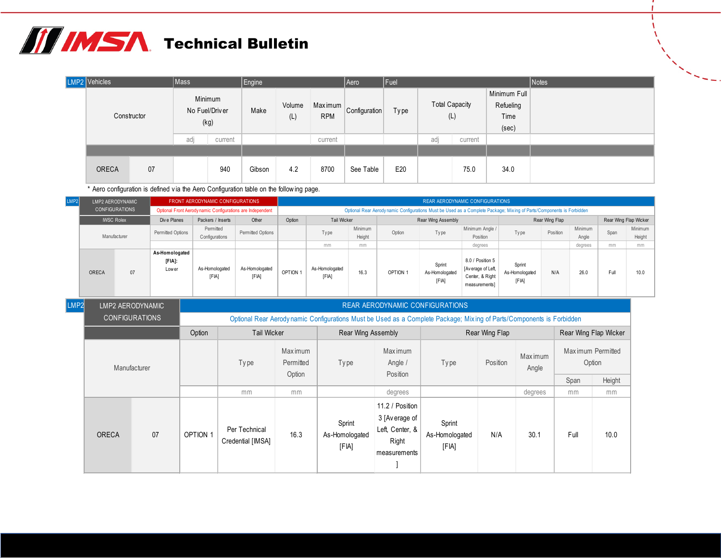| LMP2 Vehicles |             | Mass                   |         | Engine |               |                       | Aero          | Fuel        |                              |         |                                            | Notes |
|---------------|-------------|------------------------|---------|--------|---------------|-----------------------|---------------|-------------|------------------------------|---------|--------------------------------------------|-------|
|               | Constructor | No Fuel/Driver<br>(kg) | Minimum | Make   | Volume<br>(L) | Maximum<br><b>RPM</b> | Configuration | <b>Type</b> | <b>Total Capacity</b><br>(L) |         | Minimum Full<br>Refueling<br>Time<br>(sec) |       |
|               |             | adj                    | current |        |               | current               |               |             | adj                          | current |                                            |       |
|               |             |                        |         |        |               |                       |               |             |                              |         |                                            |       |
| <b>ORECA</b>  | 07          |                        | 940     | Gibson | 4.2           | 8700                  | See Table     | E20         |                              | 75.0    | 34.0                                       |       |

\* Aero configuration is defined v ia the Aero Configuration table on the follow ing page.

| LMP2 |                                                                                               |  |                                   | FRONT AERODYNAMIC CONFIGURATIONS                           | <b>REAR AERODYNAMIC CONFIGURATIONS</b> |          |                         |                   |                                                                                                                      |                                   |                                                                           |                                   |                |                  |      |                       |  |
|------|-----------------------------------------------------------------------------------------------|--|-----------------------------------|------------------------------------------------------------|----------------------------------------|----------|-------------------------|-------------------|----------------------------------------------------------------------------------------------------------------------|-----------------------------------|---------------------------------------------------------------------------|-----------------------------------|----------------|------------------|------|-----------------------|--|
|      |                                                                                               |  |                                   | Optional Front Aerody namic Configurations are Independent |                                        |          |                         |                   | Optional Rear Aerodynamic Configurations Must be Used as a Complete Package; Mixing of Parts/Components is Forbidden |                                   |                                                                           |                                   |                |                  |      |                       |  |
|      |                                                                                               |  | Div e Planes                      | Packers / Inserts                                          | Other                                  | Option   | Tail Wicker             |                   |                                                                                                                      | Rear Wing Assembly                |                                                                           |                                   | Rear Wing Flap |                  |      | Rear Wing Flap Wicker |  |
|      |                                                                                               |  | Permitted Options                 | Permitted<br>Configurations                                | Permitted Options                      |          | Type                    | Minimum<br>Height | Option                                                                                                               | Type                              | Minimum Angle /<br>Position                                               | Type                              | Position       | Minimum<br>Angle | Span | Minimum<br>Height     |  |
|      | LMP2 AERODYNAMIC<br><b>CONFIGURATIONS</b><br><b>IWSC Rolex</b><br>Manufacturer<br>ORECA<br>07 |  |                                   |                                                            |                                        | mm       | mm                      |                   |                                                                                                                      | degrees                           |                                                                           |                                   | degrees        | mm               | mm   |                       |  |
|      |                                                                                               |  | As-Homologated<br>[FIA]:<br>Lower | As-Homologated<br>[FIA]                                    | As-Homologated<br>[FIA]                | OPTION 1 | As-Homologated<br>[FIA] | 16.3              | OPTION 1                                                                                                             | Sprint<br>As-Homologated<br>[FIA] | 8.0 / Position 5<br>[Average of Left,<br>Center, & Right<br>measurements] | Sprint<br>As-Homologated<br>[FIA] | N/A            | 26.0             | Full | 10.0                  |  |

| LMP2 |              | LMP2 AERODYNAMIC      |                 |                                    |                             |                                   |                                                                              | <b>REAR AERODYNAMIC CONFIGURATIONS</b>                                                                               |                |                         |      |                             |  |  |  |  |  |
|------|--------------|-----------------------|-----------------|------------------------------------|-----------------------------|-----------------------------------|------------------------------------------------------------------------------|----------------------------------------------------------------------------------------------------------------------|----------------|-------------------------|------|-----------------------------|--|--|--|--|--|
|      |              | <b>CONFIGURATIONS</b> |                 |                                    |                             |                                   |                                                                              | Optional Rear Aerodynamic Configurations Must be Used as a Complete Package; Mixing of Parts/Components is Forbidden |                |                         |      |                             |  |  |  |  |  |
|      |              |                       | Option          | <b>Tail Wicker</b>                 |                             | <b>Rear Wing Assembly</b>         |                                                                              |                                                                                                                      | Rear Wing Flap |                         |      | Rear Wing Flap Wicker       |  |  |  |  |  |
|      |              | Manufacturer          |                 | Type                               | <b>Maximum</b><br>Permitted | Type                              | Maximum<br>Angle /                                                           | Type                                                                                                                 | Position       | <b>Maximum</b><br>Angle |      | Maximum Permitted<br>Option |  |  |  |  |  |
|      |              |                       |                 |                                    | Option                      |                                   | Position                                                                     |                                                                                                                      |                |                         | Span | Height                      |  |  |  |  |  |
|      |              |                       |                 | mm                                 | mm                          |                                   | degrees                                                                      |                                                                                                                      |                | degrees                 | mm   | mm                          |  |  |  |  |  |
|      | <b>ORECA</b> | 07                    | <b>OPTION 1</b> | Per Technical<br>Credential [IMSA] | 16.3                        | Sprint<br>As-Homologated<br>[FIA] | 11.2 / Position<br>3 [Average of<br>Left, Center, &<br>Right<br>measurements | Sprint<br>As-Homologated<br>[FIA]                                                                                    | N/A            | 30.1                    | Full | 10.0                        |  |  |  |  |  |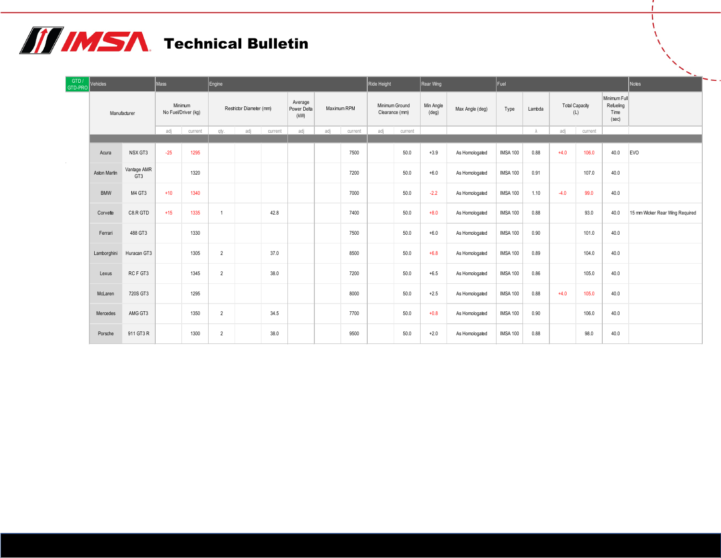| GTD /<br>GTD-PRO | Vehicles     |                                | Mass  |                                | Engine         |                          |         |                                |             |         | Ride Height                      |         | Rear Wing                   |                 | Fuel            |        |                       |         |                                            | Notes                           |
|------------------|--------------|--------------------------------|-------|--------------------------------|----------------|--------------------------|---------|--------------------------------|-------------|---------|----------------------------------|---------|-----------------------------|-----------------|-----------------|--------|-----------------------|---------|--------------------------------------------|---------------------------------|
|                  |              | Manufacturer                   |       | Minimum<br>No Fuel/Driver (kg) |                | Restrictor Diameter (mm) |         | Average<br>Power Delta<br>(kW) | Maximum RPM |         | Minimum Ground<br>Clearance (mm) |         | Min Angle<br>$(\text{deg})$ | Max Angle (deg) | Type            | Lambda | <b>Total Capacity</b> | (L)     | Minimum Full<br>Refueling<br>Time<br>(sec) |                                 |
|                  |              |                                | adi   | current                        | qty.           | adj                      | current | adi                            | adi         | current | adi                              | current |                             |                 |                 |        | adi                   | current |                                            |                                 |
|                  | Acura        | NSX GT3                        | $-25$ | 1295                           |                |                          |         |                                |             | 7500    |                                  | 50.0    | $+3.9$                      | As Homologated  | <b>IMSA 100</b> | 0.88   | $+4.0$                | 106.0   | 40.0                                       | <b>EVO</b>                      |
|                  | Aston Martin | Vantage AMR<br>GT <sub>3</sub> |       | 1320                           |                |                          |         |                                |             | 7200    |                                  | 50.0    | $+6.0$                      | As Homologated  | <b>IMSA 100</b> | 0.91   |                       | 107.0   | 40.0                                       |                                 |
|                  | <b>BMW</b>   | M4 GT3                         | $+10$ | 1340                           |                |                          |         |                                |             | 7000    |                                  | 50.0    | $-2.2$                      | As Homologated  | <b>IMSA 100</b> | 1.10   | $-4.0$                | 99.0    | 40.0                                       |                                 |
|                  | Corvette     | C8.R GTD                       | $+15$ | 1335                           | $\overline{1}$ |                          | 42.8    |                                |             | 7400    |                                  | 50.0    | $+8.0$                      | As Homologated  | <b>IMSA 100</b> | 0.88   |                       | 93.0    | 40.0                                       | 15 mm Wicker Rear Wing Required |
|                  | Ferrari      | 488 GT3                        |       | 1330                           |                |                          |         |                                |             | 7500    |                                  | 50.0    | $+6.0$                      | As Homologated  | <b>IMSA 100</b> | 0.90   |                       | 101.0   | 40.0                                       |                                 |
|                  | Lamborghini  | Huracan GT3                    |       | 1305                           | $\overline{2}$ |                          | 37.0    |                                |             | 8500    |                                  | 50.0    | $+6.8$                      | As Homologated  | <b>IMSA 100</b> | 0.89   |                       | 104.0   | 40.0                                       |                                 |
|                  | Lexus        | RCF GT3                        |       | 1345                           | $\overline{2}$ |                          | 38.0    |                                |             | 7200    |                                  | 50.0    | $+6.5$                      | As Homologated  | <b>IMSA 100</b> | 0.86   |                       | 105.0   | 40.0                                       |                                 |
|                  | McLaren      | 720S GT3                       |       | 1295                           |                |                          |         |                                |             | 8000    |                                  | 50.0    | $+2.5$                      | As Homologated  | <b>IMSA 100</b> | 0.88   | $+4.0$                | 105.0   | 40.0                                       |                                 |
|                  | Mercedes     | AMG GT3                        |       | 1350                           | $\overline{2}$ |                          | 34.5    |                                |             | 7700    |                                  | 50.0    | $+0.8$                      | As Homologated  | <b>IMSA 100</b> | 0.90   |                       | 106.0   | 40.0                                       |                                 |
|                  | Porsche      | 911 GT3 R                      |       | 1300                           | $\overline{2}$ |                          | 38.0    |                                |             | 9500    |                                  | 50.0    | $+2.0$                      | As Homologated  | <b>IMSA 100</b> | 0.88   |                       | 98.0    | 40.0                                       |                                 |